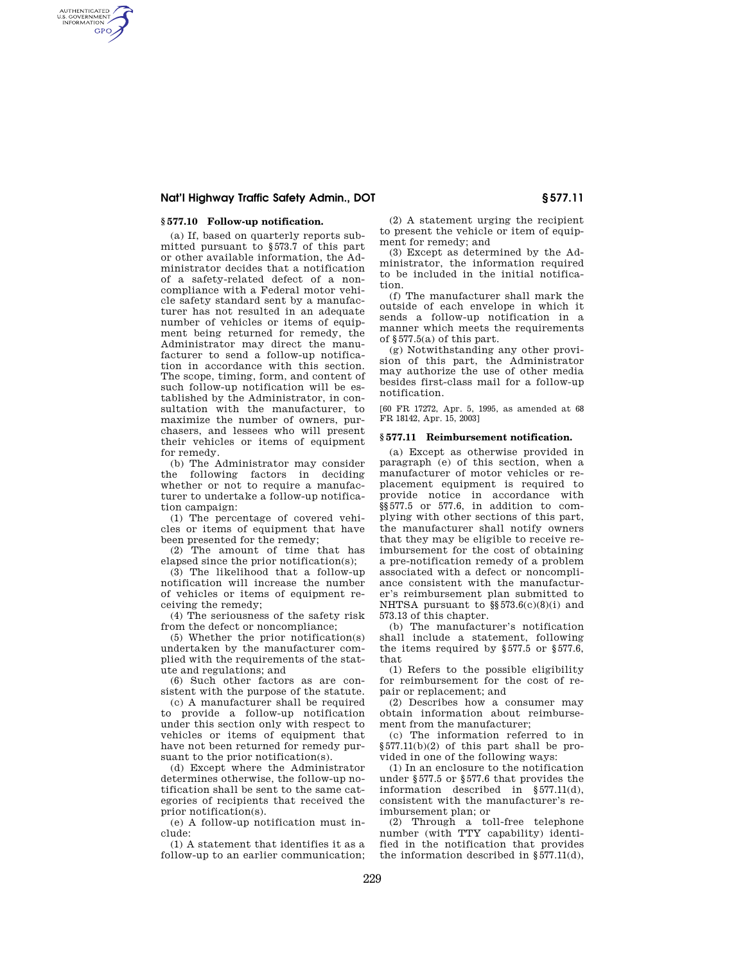# **Nat'l Highway Traffic Safety Admin., DOT § 577.11**

## **§ 577.10 Follow-up notification.**

AUTHENTICATED<br>U.S. GOVERNMENT<br>INFORMATION **GPO** 

> (a) If, based on quarterly reports submitted pursuant to §573.7 of this part or other available information, the Administrator decides that a notification of a safety-related defect of a noncompliance with a Federal motor vehicle safety standard sent by a manufacturer has not resulted in an adequate number of vehicles or items of equipment being returned for remedy, the Administrator may direct the manufacturer to send a follow-up notification in accordance with this section. The scope, timing, form, and content of such follow-up notification will be established by the Administrator, in consultation with the manufacturer, to maximize the number of owners, purchasers, and lessees who will present their vehicles or items of equipment for remedy.

> (b) The Administrator may consider the following factors in deciding whether or not to require a manufacturer to undertake a follow-up notification campaign:

> (1) The percentage of covered vehicles or items of equipment that have been presented for the remedy;

> (2) The amount of time that has elapsed since the prior notification(s);

> (3) The likelihood that a follow-up notification will increase the number of vehicles or items of equipment receiving the remedy;

> (4) The seriousness of the safety risk from the defect or noncompliance;

(5) Whether the prior notification(s) undertaken by the manufacturer complied with the requirements of the statute and regulations; and

(6) Such other factors as are consistent with the purpose of the statute.

(c) A manufacturer shall be required to provide a follow-up notification under this section only with respect to vehicles or items of equipment that have not been returned for remedy pursuant to the prior notification(s).

(d) Except where the Administrator determines otherwise, the follow-up notification shall be sent to the same categories of recipients that received the prior notification(s).

(e) A follow-up notification must include:

(1) A statement that identifies it as a follow-up to an earlier communication;

(2) A statement urging the recipient to present the vehicle or item of equipment for remedy; and

(3) Except as determined by the Administrator, the information required to be included in the initial notification.

(f) The manufacturer shall mark the outside of each envelope in which it sends a follow-up notification in a manner which meets the requirements of §577.5(a) of this part.

(g) Notwithstanding any other provision of this part, the Administrator may authorize the use of other media besides first-class mail for a follow-up notification.

[60 FR 17272, Apr. 5, 1995, as amended at 68 FR 18142, Apr. 15, 2003]

### **§ 577.11 Reimbursement notification.**

(a) Except as otherwise provided in paragraph (e) of this section, when a manufacturer of motor vehicles or replacement equipment is required to provide notice in accordance with §§577.5 or 577.6, in addition to complying with other sections of this part, the manufacturer shall notify owners that they may be eligible to receive reimbursement for the cost of obtaining a pre-notification remedy of a problem associated with a defect or noncompliance consistent with the manufacturer's reimbursement plan submitted to NHTSA pursuant to §§573.6(c)(8)(i) and 573.13 of this chapter.

(b) The manufacturer's notification shall include a statement, following the items required by §577.5 or §577.6, that

(1) Refers to the possible eligibility for reimbursement for the cost of repair or replacement; and

(2) Describes how a consumer may obtain information about reimbursement from the manufacturer;

(c) The information referred to in §577.11(b)(2) of this part shall be provided in one of the following ways:

(1) In an enclosure to the notification under §577.5 or §577.6 that provides the information described in §577.11(d), consistent with the manufacturer's reimbursement plan; or

(2) Through a toll-free telephone number (with TTY capability) identified in the notification that provides the information described in  $\S$ 577.11(d),